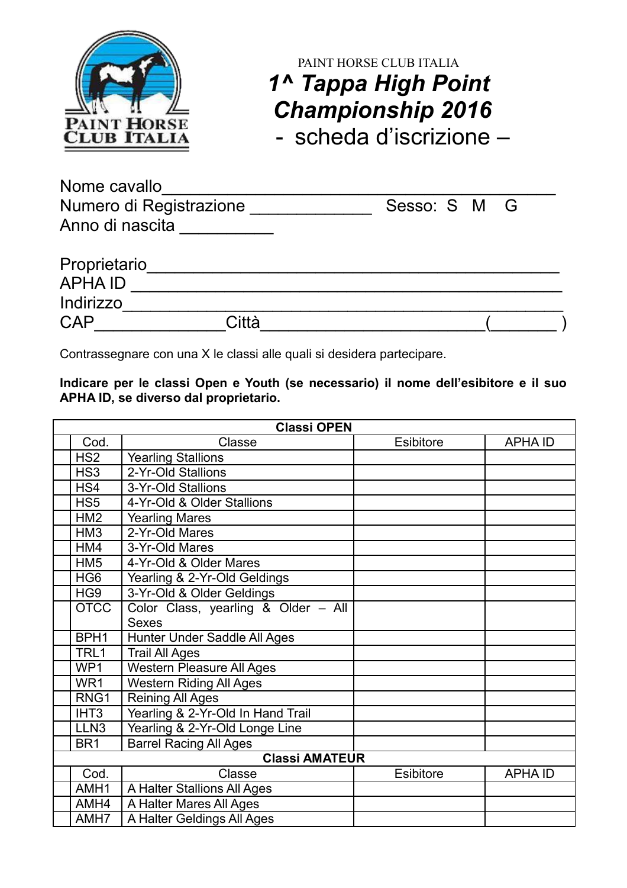

## PAINT HORSE CLUB ITALIA *1^ Tappa High Point Championship 2016* - scheda d'iscrizione –

Nome cavallo<br>
Numero di Registrazione<br>
Numero di Registrazione<br>
Caraccello di Registrazione Numero di Registrazione \_\_\_\_\_\_\_\_\_\_\_\_\_ Sesso: S M G Anno di nascita \_\_\_\_\_\_\_\_\_\_

| Proprietario  |       |  |  |  |  |
|---------------|-------|--|--|--|--|
| <b>APHAID</b> |       |  |  |  |  |
| Indirizzo     |       |  |  |  |  |
| <b>CAP</b>    | Città |  |  |  |  |

Contrassegnare con una X le classi alle quali si desidera partecipare.

**Indicare per le classi Open e Youth (se necessario) il nome dell'esibitore e il suo APHA ID, se diverso dal proprietario.**

| <b>Classi OPEN</b> |                  |                                     |                  |               |
|--------------------|------------------|-------------------------------------|------------------|---------------|
|                    | Cod.             | Classe                              | <b>Esibitore</b> | <b>APHAID</b> |
|                    | HS <sub>2</sub>  | <b>Yearling Stallions</b>           |                  |               |
|                    | HS <sub>3</sub>  | 2-Yr-Old Stallions                  |                  |               |
|                    | HS4              | 3-Yr-Old Stallions                  |                  |               |
|                    | HS <sub>5</sub>  | 4-Yr-Old & Older Stallions          |                  |               |
|                    | HM <sub>2</sub>  | <b>Yearling Mares</b>               |                  |               |
|                    | HM <sub>3</sub>  | 2-Yr-Old Mares                      |                  |               |
|                    | HM4              | 3-Yr-Old Mares                      |                  |               |
|                    | HM <sub>5</sub>  | 4-Yr-Old & Older Mares              |                  |               |
|                    | HG <sub>6</sub>  | Yearling & 2-Yr-Old Geldings        |                  |               |
|                    | HG <sub>9</sub>  | 3-Yr-Old & Older Geldings           |                  |               |
|                    | <b>OTCC</b>      | Color Class, yearling & Older - All |                  |               |
|                    |                  | <b>Sexes</b>                        |                  |               |
|                    | BPH1             | Hunter Under Saddle All Ages        |                  |               |
|                    | TRL1             | <b>Trail All Ages</b>               |                  |               |
|                    | WP1              | <b>Western Pleasure All Ages</b>    |                  |               |
|                    | WR1              | <b>Western Riding All Ages</b>      |                  |               |
|                    | RNG1             | <b>Reining All Ages</b>             |                  |               |
|                    | IHT <sub>3</sub> | Yearling & 2-Yr-Old In Hand Trail   |                  |               |
|                    | LLN <sub>3</sub> | Yearling & 2-Yr-Old Longe Line      |                  |               |
|                    | BR <sub>1</sub>  | <b>Barrel Racing All Ages</b>       |                  |               |
|                    |                  | <b>Classi AMATEUR</b>               |                  |               |
|                    | Cod.             | Classe                              | <b>Esibitore</b> | <b>APHAID</b> |
|                    | AMH1             | A Halter Stallions All Ages         |                  |               |
|                    | AMH4             | A Halter Mares All Ages             |                  |               |
|                    | AMH7             | A Halter Geldings All Ages          |                  |               |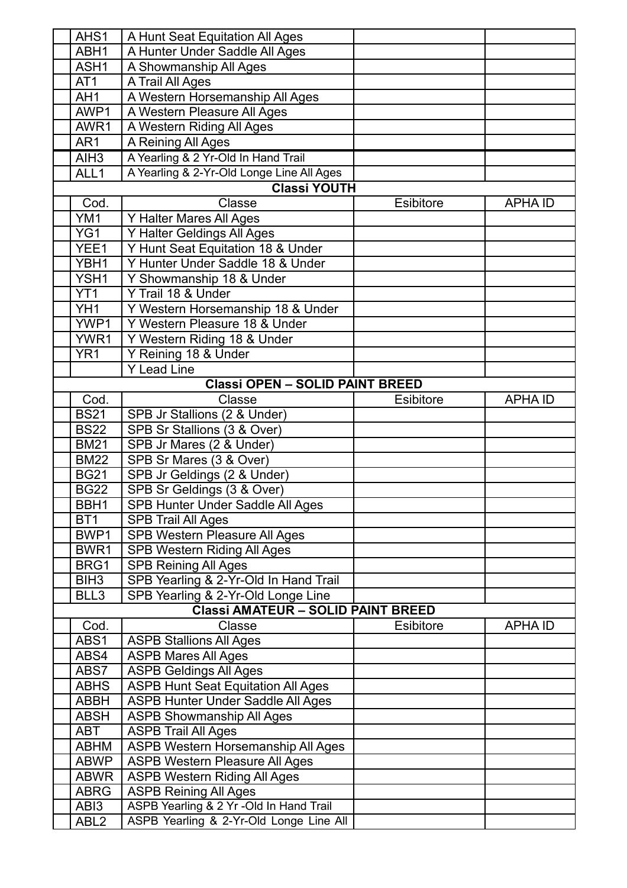| AHS1             | A Hunt Seat Equitation All Ages                                      |                  |                |
|------------------|----------------------------------------------------------------------|------------------|----------------|
| ABH1             | A Hunter Under Saddle All Ages                                       |                  |                |
| ASH1             | A Showmanship All Ages                                               |                  |                |
| AT1              | A Trail All Ages                                                     |                  |                |
| AH <sub>1</sub>  | A Western Horsemanship All Ages                                      |                  |                |
| AWP1             | A Western Pleasure All Ages                                          |                  |                |
| AWR1             | A Western Riding All Ages                                            |                  |                |
| AR1              | A Reining All Ages                                                   |                  |                |
| AIH <sub>3</sub> | A Yearling & 2 Yr-Old In Hand Trail                                  |                  |                |
| ALL1             | A Yearling & 2-Yr-Old Longe Line All Ages                            |                  |                |
|                  | <b>Classi YOUTH</b>                                                  |                  |                |
| Cod.             | Classe                                                               | Esibitore        | <b>APHA ID</b> |
| YM1              | Y Halter Mares All Ages                                              |                  |                |
| YG1              | Y Halter Geldings All Ages                                           |                  |                |
| YEE1             | Y Hunt Seat Equitation 18 & Under                                    |                  |                |
| YBH1             | Y Hunter Under Saddle 18 & Under                                     |                  |                |
| YSH1             | Y Showmanship 18 & Under                                             |                  |                |
| YT <sub>1</sub>  | Y Trail 18 & Under                                                   |                  |                |
| YH <sub>1</sub>  | Y Western Horsemanship 18 & Under                                    |                  |                |
| YWP1             | Y Western Pleasure 18 & Under                                        |                  |                |
| YWR1             | Y Western Riding 18 & Under                                          |                  |                |
| YR <sub>1</sub>  | Y Reining 18 & Under                                                 |                  |                |
|                  | <b>Y Lead Line</b>                                                   |                  |                |
|                  | <b>Classi OPEN - SOLID PAINT BREED</b>                               |                  |                |
| Cod.             | Classe                                                               | <b>Esibitore</b> | <b>APHA ID</b> |
| <b>BS21</b>      | SPB Jr Stallions (2 & Under)                                         |                  |                |
| <b>BS22</b>      | SPB Sr Stallions (3 & Over)                                          |                  |                |
| <b>BM21</b>      | SPB Jr Mares (2 & Under)                                             |                  |                |
| <b>BM22</b>      | SPB Sr Mares (3 & Over)                                              |                  |                |
| <b>BG21</b>      | SPB Jr Geldings (2 & Under)                                          |                  |                |
| <b>BG22</b>      | SPB Sr Geldings (3 & Over)                                           |                  |                |
| BBH1             | SPB Hunter Under Saddle All Ages                                     |                  |                |
| BT <sub>1</sub>  | <b>SPB Trail All Ages</b>                                            |                  |                |
| BWP1             | SPB Western Pleasure All Ages                                        |                  |                |
| BWR1             | <b>SPB Western Riding All Ages</b>                                   |                  |                |
| BRG1             |                                                                      |                  |                |
| BIH <sub>3</sub> | <b>SPB Reining All Ages</b><br>SPB Yearling & 2-Yr-Old In Hand Trail |                  |                |
| BLL3             | SPB Yearling & 2-Yr-Old Longe Line                                   |                  |                |
|                  | <b>Classi AMATEUR - SOLID PAINT BREED</b>                            |                  |                |
| Cod.             | Classe                                                               | Esibitore        | <b>APHAID</b>  |
| ABS1             | <b>ASPB Stallions All Ages</b>                                       |                  |                |
| ABS4             | <b>ASPB Mares All Ages</b>                                           |                  |                |
| ABS7             | <b>ASPB Geldings All Ages</b>                                        |                  |                |
| <b>ABHS</b>      | <b>ASPB Hunt Seat Equitation All Ages</b>                            |                  |                |
| <b>ABBH</b>      | ASPB Hunter Under Saddle All Ages                                    |                  |                |
| <b>ABSH</b>      | <b>ASPB Showmanship All Ages</b>                                     |                  |                |
| ABT              | <b>ASPB Trail All Ages</b>                                           |                  |                |
| <b>ABHM</b>      | <b>ASPB Western Horsemanship All Ages</b>                            |                  |                |
| <b>ABWP</b>      | <b>ASPB Western Pleasure All Ages</b>                                |                  |                |
| <b>ABWR</b>      | <b>ASPB Western Riding All Ages</b>                                  |                  |                |
| <b>ABRG</b>      | <b>ASPB Reining All Ages</b>                                         |                  |                |
| ABI3             | ASPB Yearling & 2 Yr -Old In Hand Trail                              |                  |                |
| ABL <sub>2</sub> | ASPB Yearling & 2-Yr-Old Longe Line All                              |                  |                |
|                  |                                                                      |                  |                |